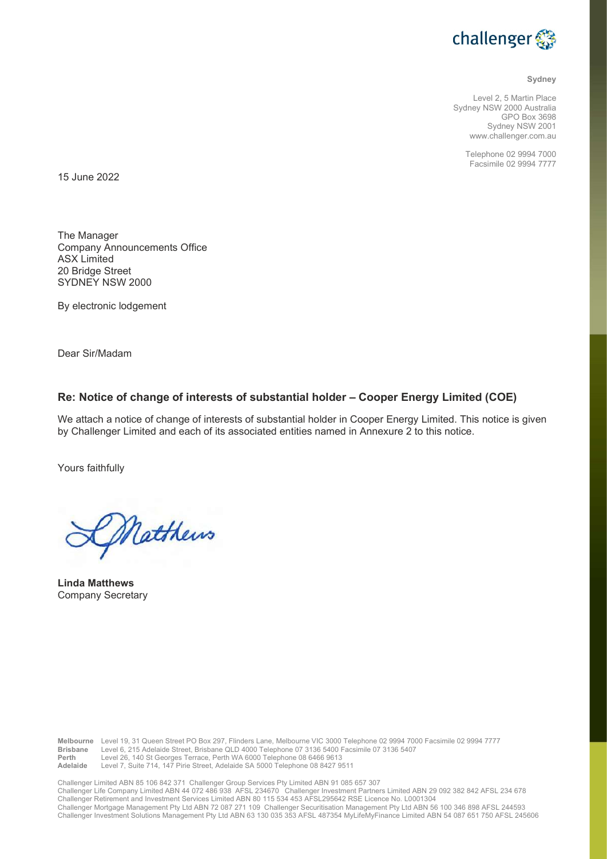

### Sydney

Level 2, 5 Martin Place Sydney NSW 2000 Australia GPO Box 3698 Sydney NSW 2001 www.challenger.com.au

> Telephone 02 9994 7000 Facsimile 02 9994 7777

15 June 2022

The Manager Company Announcements Office ASX Limited 20 Bridge Street SYDNEY NSW 2000

By electronic lodgement

Dear Sir/Madam

# Re: Notice of change of interests of substantial holder – Cooper Energy Limited (COE)

We attach a notice of change of interests of substantial holder in Cooper Energy Limited. This notice is given by Challenger Limited and each of its associated entities named in Annexure 2 to this notice.

Yours faithfully

Matthews

Linda Matthews Company Secretary

Melbourne Level 19, 31 Queen Street PO Box 297, Flinders Lane, Melbourne VIC 3000 Telephone 02 9994 7000 Facsimile 02 9994 7777<br>Brisbane Level 6, 215 Adelaide Street, Brisbane QLD 4000 Telephone 07 3136 5400 Facsimile 07 3 Level 6, 215 Adelaide Street, Brisbane QLD 4000 Telephone 07 3136 5400 Facsimile 07 3136 5407 Perth Level 26, 140 St Georges Terrace, Perth WA 6000 Telephone 08 6466 9613 Adelaide Level 7, Suite 714, 147 Pirie Street, Adelaide SA 5000 Telephone 08 8427 9511

Challenger Limited ABN 85 106 842 371 Challenger Group Services Pty Limited ABN 91 085 657 307 Challenger Life Company Limited ABN 44 072 486 938 AFSL 234670 Challenger Investment Partners Limited ABN 29 092 382 842 AFSL 234 678 Challenger Retirement and Investment Services Limited ABN 80 115 534 453 AFSL295642 RSE Licence No. L0001304 Challenger Mortgage Management Pty Ltd ABN 72 087 271 109 Challenger Securitisation Management Pty Ltd ABN 56 100 346 898 AFSL 244593 Challenger Investment Solutions Management Pty Ltd ABN 63 130 035 353 AFSL 487354 MyLifeMyFinance Limited ABN 54 087 651 750 AFSL 245606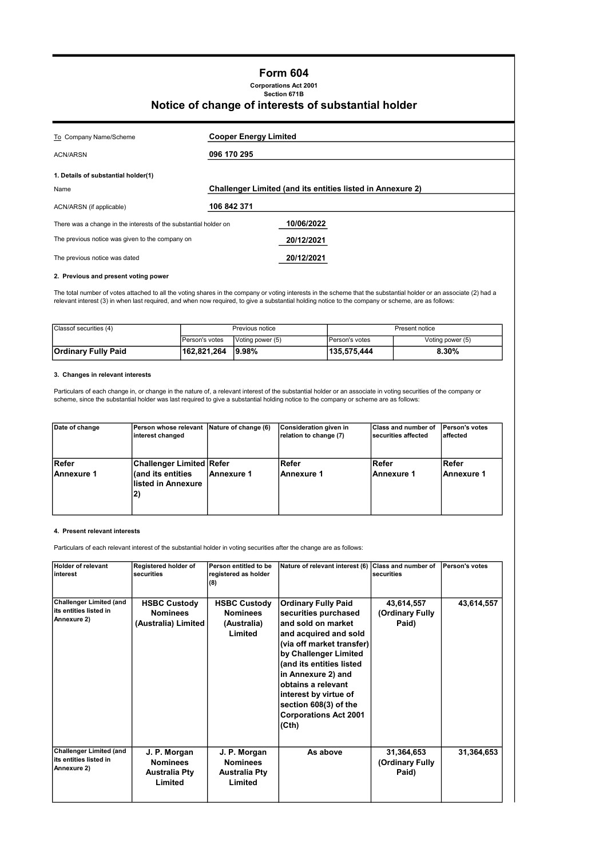# Form 604

Corporations Act 2001 Section 671B

## Notice of change of interests of substantial holder

| To Company Name/Scheme<br><b>ACN/ARSN</b>                        | <b>Cooper Energy Limited</b><br>096 170 295                |
|------------------------------------------------------------------|------------------------------------------------------------|
| 1. Details of substantial holder(1)                              |                                                            |
| Name                                                             | Challenger Limited (and its entities listed in Annexure 2) |
| ACN/ARSN (if applicable)                                         | 106 842 371                                                |
| There was a change in the interests of the substantial holder on | 10/06/2022                                                 |
| The previous notice was given to the company on                  | 20/12/2021                                                 |
| The previous notice was dated                                    | 20/12/2021                                                 |

### 2. Previous and present voting power

The total number of votes attached to all the voting shares in the company or voting interests in the scheme that the substantial holder or an associate (2) had a<br>relevant interest (3) in when last required, and when now r

| Classof securities (4) | Previous notice        |                  | Present notice |                  |
|------------------------|------------------------|------------------|----------------|------------------|
|                        | <b>IPerson's votes</b> | Voting power (5) | Person's votes | Voting power (5) |
| Ordinary Fully Paid    | 162.821.264            | <u>19.98%</u>    | 135.575.444    | 8.30%            |

### 3. Changes in relevant interests

Particulars of each change in, or change in the nature of, a relevant interest of the substantial holder or an associate in voting securities of the company or<br>scheme, since the substantial holder was last required to give

| Date of change             | Person whose relevant Nature of change (6)<br>interest changed              |              | Consideration given in<br>relation to change (7) | <b>Class and number of</b><br>securities affected | Person's votes<br>laffected |
|----------------------------|-----------------------------------------------------------------------------|--------------|--------------------------------------------------|---------------------------------------------------|-----------------------------|
| Refer<br><b>Annexure 1</b> | <b>Challenger Limited Refer</b><br>(and its entities<br>llisted in Annexure | l Annexure 1 | Refer<br>Annexure 1                              | l Refer<br>lAnnexure 1                            | ∣Refer<br>iAnnexure 1       |

### 4. Present relevant interests

Particulars of each relevant interest of the substantial holder in voting securities after the change are as follows:

| <b>Holder of relevant</b><br>linterest                                   | Registered holder of<br>securities                                 | Person entitled to be<br>registered as holder<br>(8)               | Nature of relevant interest (6)                                                                                                                                                                                                                                                                                            | <b>Class and number of</b><br>securities | Person's votes |
|--------------------------------------------------------------------------|--------------------------------------------------------------------|--------------------------------------------------------------------|----------------------------------------------------------------------------------------------------------------------------------------------------------------------------------------------------------------------------------------------------------------------------------------------------------------------------|------------------------------------------|----------------|
| <b>Challenger Limited (and</b><br>its entities listed in<br>Annexure 2)  | <b>HSBC Custody</b><br><b>Nominees</b><br>(Australia) Limited      | <b>HSBC Custody</b><br><b>Nominees</b><br>(Australia)<br>Limited   | <b>Ordinary Fully Paid</b><br>securities purchased<br>and sold on market<br>and acquired and sold<br>(via off market transfer)<br>by Challenger Limited<br>(and its entities listed<br>in Annexure 2) and<br>obtains a relevant<br>interest by virtue of<br>section 608(3) of the<br><b>Corporations Act 2001</b><br>(Cth) | 43,614,557<br>(Ordinary Fully<br>Paid)   | 43,614,557     |
| <b>Challenger Limited (and</b><br>lits entities listed in<br>Annexure 2) | J. P. Morgan<br><b>Nominees</b><br><b>Australia Pty</b><br>Limited | J. P. Morgan<br><b>Nominees</b><br><b>Australia Pty</b><br>Limited | As above                                                                                                                                                                                                                                                                                                                   | 31,364,653<br>(Ordinary Fully<br>Paid)   | 31,364,653     |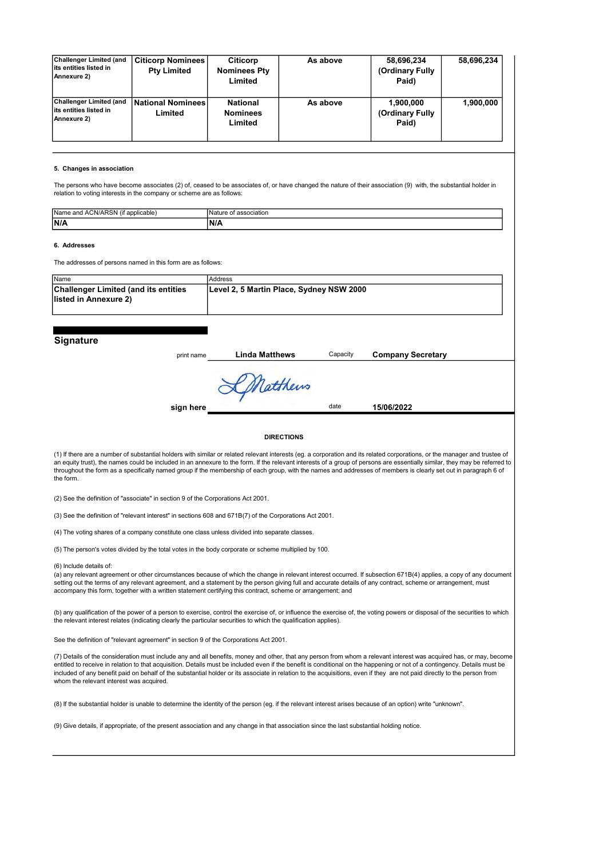| <b>Challenger Limited (and</b><br>lits entities listed in<br><b>Annexure 2)</b> | <b>Citicorp Nominees</b><br><b>Pty Limited</b> | Citicorp<br><b>Nominees Pty</b><br>Limited    | As above | 58,696,234<br>(Ordinary Fully<br>Paid) | 58,696,234 |
|---------------------------------------------------------------------------------|------------------------------------------------|-----------------------------------------------|----------|----------------------------------------|------------|
| Challenger Limited (and<br>lits entities listed in<br>Annexure 2)               | <b>National Nominees</b><br>Limited            | <b>National</b><br><b>Nominees</b><br>Limited | As above | 1,900,000<br>(Ordinary Fully<br>Paid)  | 1.900.000  |

#### 5. Changes in association

The persons who have become associates (2) of, ceased to be associates of, or have changed the nature of their association (9) with, the substantial holder in relation to voting interests in the company or scheme are as follows:

| <br>:Name<br>and<br>٠в٧<br>alled biser | лланог |
|----------------------------------------|--------|
| N/A                                    | w      |
|                                        |        |

#### 6. Addresses

The addresses of persons named in this form are as follows:

| <b>Name</b>                                 | Address                                  |
|---------------------------------------------|------------------------------------------|
| <b>Challenger Limited (and its entities</b> | Level 2, 5 Martin Place, Sydney NSW 2000 |
| llisted in Annexure 2)                      |                                          |
|                                             |                                          |

### **Signature**

print name **Linda Matthews** Capacity **Company Secretary** 

Capacity

date

Matthews

sign here 15/06/2022

#### **DIRECTIONS**

(1) If there are a number of substantial holders with similar or related relevant interests (eg. a corporation and its related corporations, or the manager and trustee of an equity trust), the names could be included in an annexure to the form. If the relevant interests of a group of persons are essentially similar, they may be referred to throughout the form as a specifically named group if the membership of each group, with the names and addresses of members is clearly set out in paragraph 6 of the form.

(2) See the definition of "associate" in section 9 of the Corporations Act 2001.

(3) See the definition of "relevant interest" in sections 608 and 671B(7) of the Corporations Act 2001.

(4) The voting shares of a company constitute one class unless divided into separate classes.

(5) The person's votes divided by the total votes in the body corporate or scheme multiplied by 100.

(6) Include details of:

(a) any relevant agreement or other circumstances because of which the change in relevant interest occurred. If subsection 671B(4) applies, a copy of any document setting out the terms of any relevant agreement, and a statement by the person giving full and accurate details of any contract, scheme or arrangement, must<br>accompany this form, together with a written statement certifying

(b) any qualification of the power of a person to exercise, control the exercise of, or influence the exercise of, the voting powers or disposal of the securities to which the relevant interest relates (indicating clearly the particular securities to which the qualification applies).

See the definition of "relevant agreement" in section 9 of the Corporations Act 2001.

(7) Details of the consideration must include any and all benefits, money and other, that any person from whom a relevant interest was acquired has, or may, become<br>entitled to receive in relation to that acquisition. Detai included of any benefit paid on behalf of the substantial holder or its associate in relation to the acquisitions, even if they are not paid directly to the person from whom the relevant interest was acquired.

(8) If the substantial holder is unable to determine the identity of the person (eg. if the relevant interest arises because of an option) write "unknown".

(9) Give details, if appropriate, of the present association and any change in that association since the last substantial holding notice.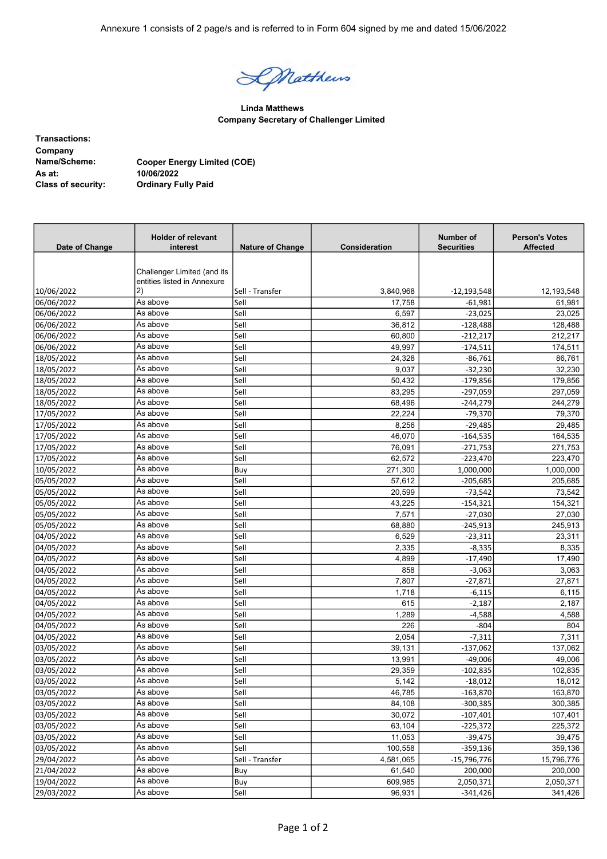DNatthews

Linda Matthews Company Secretary of Challenger Limited

Transactions: Company Name/Scheme: Cooper Energy Limited (COE) As at: 10/06/2022<br>Class of security: 0rdinary F **Ordinary Fully Paid** 

| Date of Change | <b>Holder of relevant</b><br>interest | <b>Nature of Change</b> | Consideration | Number of<br><b>Securities</b> | <b>Person's Votes</b><br><b>Affected</b> |
|----------------|---------------------------------------|-------------------------|---------------|--------------------------------|------------------------------------------|
|                |                                       |                         |               |                                |                                          |
|                | Challenger Limited (and its           |                         |               |                                |                                          |
|                | entities listed in Annexure           |                         |               |                                |                                          |
| 10/06/2022     | 2)                                    | Sell - Transfer         | 3,840,968     | -12,193,548                    | 12,193,548                               |
| 06/06/2022     | As above                              | Sell                    | 17,758        | $-61,981$                      | 61,981                                   |
| 06/06/2022     | As above                              | Sell                    | 6,597         | $-23,025$                      | 23,025                                   |
| 06/06/2022     | As above                              | Sell                    | 36,812        | $-128,488$                     | 128,488                                  |
| 06/06/2022     | As above                              | Sell                    | 60,800        | $-212,217$                     | 212,217                                  |
| 06/06/2022     | As above<br>As above                  | Sell                    | 49,997        | $-174,511$                     | 174,511                                  |
| 18/05/2022     |                                       | Sell                    | 24,328        | $-86,761$                      | 86,761                                   |
| 18/05/2022     | As above                              | Sell                    | 9,037         | $-32,230$                      | 32,230                                   |
| 18/05/2022     | As above                              | Sell                    | 50,432        | $-179,856$                     | 179,856                                  |
| 18/05/2022     | As above                              | Sell                    | 83,295        | $-297,059$                     | 297,059                                  |
| 18/05/2022     | As above                              | Sell                    | 68,496        | $-244,279$                     | 244,279                                  |
| 17/05/2022     | As above                              | Sell                    | 22,224        | $-79,370$                      | 79,370                                   |
| 17/05/2022     | As above                              | Sell                    | 8,256         | $-29,485$                      | 29,485                                   |
| 17/05/2022     | As above                              | Sell                    | 46,070        | $-164,535$                     | 164,535                                  |
| 17/05/2022     | As above                              | Sell                    | 76,091        | $-271,753$                     | 271,753                                  |
| 17/05/2022     | As above                              | Sell                    | 62,572        | $-223,470$                     | 223,470                                  |
| 10/05/2022     | As above                              | Buy                     | 271,300       | 1,000,000                      | 1,000,000                                |
| 05/05/2022     | As above                              | Sell                    | 57,612        | $-205,685$                     | 205,685                                  |
| 05/05/2022     | As above                              | Sell                    | 20,599        | -73,542                        | 73,542                                   |
| 05/05/2022     | As above                              | Sell                    | 43,225        | $-154,321$                     | 154,321                                  |
| 05/05/2022     | As above                              | Sell                    | 7,571         | $-27,030$                      | 27,030                                   |
| 05/05/2022     | As above                              | Sell                    | 68,880        | $-245,913$                     | 245,913                                  |
| 04/05/2022     | As above                              | Sell                    | 6,529         | $-23,311$                      | 23,311                                   |
| 04/05/2022     | As above                              | Sell                    | 2,335         | $-8,335$                       | 8,335                                    |
| 04/05/2022     | As above                              | Sell                    | 4,899         | $-17,490$                      | 17,490                                   |
| 04/05/2022     | As above                              | Sell                    | 858           | $-3,063$                       | 3,063                                    |
| 04/05/2022     | As above                              | Sell                    | 7,807         | $-27,871$                      | 27,871                                   |
| 04/05/2022     | As above                              | Sell                    | 1,718         | $-6,115$                       | 6,115                                    |
| 04/05/2022     | As above                              | Sell                    | 615           | $-2,187$                       | 2,187                                    |
| 04/05/2022     | As above                              | Sell                    | 1,289         | $-4,588$                       | 4,588                                    |
| 04/05/2022     | As above                              | Sell                    | 226           | $-804$                         | 804                                      |
| 04/05/2022     | As above                              | Sell                    | 2,054         | $-7,311$                       | 7,311                                    |
| 03/05/2022     | As above                              | Sell                    | 39,131        | $-137,062$                     | 137,062                                  |
| 03/05/2022     | As above                              | Sell                    | 13,991        | $-49,006$                      | 49,006                                   |
| 03/05/2022     | As above                              | Sell                    | 29,359        | $-102,835$                     | 102,835                                  |
| 03/05/2022     | As above                              | Sell                    | 5,142         | -18,012                        | 18,012                                   |
| 03/05/2022     | As above                              | Sell                    | 46,785        | $-163,870$                     | 163,870                                  |
| 03/05/2022     | As above                              | Sell                    | 84,108        | $-300,385$                     | 300,385                                  |
| 03/05/2022     | As above                              | Sell                    | 30,072        | $-107,401$                     | 107,401                                  |
| 03/05/2022     | As above                              | Sell                    | 63,104        | $-225,372$                     | 225,372                                  |
| 03/05/2022     | As above                              | Sell                    | 11,053        | $-39,475$                      | 39,475                                   |
| 03/05/2022     | As above                              | Sell                    | 100,558       | $-359,136$                     | 359,136                                  |
| 29/04/2022     | As above                              | Sell - Transfer         | 4,581,065     | $-15,796,776$                  | 15,796,776                               |
| 21/04/2022     | As above                              | Buy                     | 61,540        | 200,000                        | 200,000                                  |
| 19/04/2022     | As above                              | Buy                     | 609,985       | 2,050,371                      | 2,050,371                                |
| 29/03/2022     | As above                              | Sell                    | 96,931        | $-341,426$                     | 341,426                                  |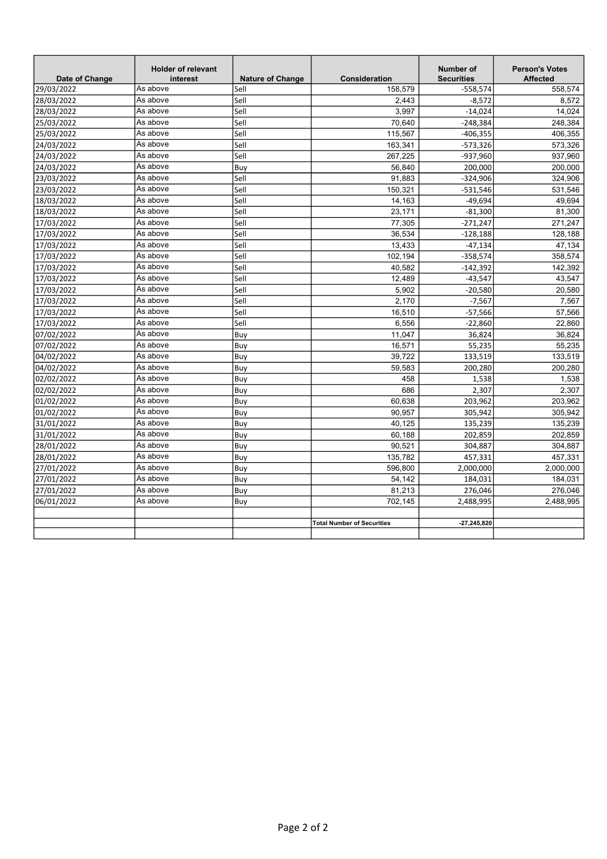| Date of Change | <b>Holder of relevant</b><br>interest | <b>Nature of Change</b> | Consideration                     | <b>Number of</b><br><b>Securities</b> | <b>Person's Votes</b><br><b>Affected</b> |
|----------------|---------------------------------------|-------------------------|-----------------------------------|---------------------------------------|------------------------------------------|
| 29/03/2022     | As above                              | Sell                    | 158,579                           | $-558,574$                            | 558,574                                  |
| 28/03/2022     | As above                              | Sell                    | 2,443                             | $-8,572$                              | 8,572                                    |
| 28/03/2022     | As above                              | Sell                    | 3,997                             | $-14,024$                             | 14.024                                   |
| 25/03/2022     | As above                              | Sell                    | 70,640                            | $-248,384$                            | 248,384                                  |
| 25/03/2022     | As above                              | Sell                    | 115,567                           | $-406,355$                            | 406,355                                  |
| 24/03/2022     | As above                              | Sell                    | 163,341                           | $-573,326$                            | 573,326                                  |
| 24/03/2022     | As above                              | Sell                    | 267,225                           | -937,960                              | 937,960                                  |
| 24/03/2022     | As above                              | Buy                     | 56,840                            | 200,000                               | 200,000                                  |
| 23/03/2022     | As above                              | Sell                    | 91,883                            | $-324,906$                            | 324,906                                  |
| 23/03/2022     | As above                              | Sell                    | 150,321                           | $-531,546$                            | 531,546                                  |
| 18/03/2022     | As above                              | Sell                    | 14,163                            | $-49,694$                             | 49,694                                   |
| 18/03/2022     | As above                              | Sell                    | 23,171                            | $-81,300$                             | 81,300                                   |
| 17/03/2022     | As above                              | Sell                    | 77,305                            | $-271,247$                            | 271,247                                  |
| 17/03/2022     | As above                              | Sell                    | 36,534                            | $-128,188$                            | 128,188                                  |
| 17/03/2022     | As above                              | Sell                    | 13,433                            | $-47,134$                             | 47,134                                   |
| 17/03/2022     | As above                              | Sell                    | 102,194                           | $-358,574$                            | 358,574                                  |
| 17/03/2022     | As above                              | Sell                    | 40,582                            | $-142,392$                            | 142,392                                  |
| 17/03/2022     | As above                              | Sell                    | 12,489                            | $-43,547$                             | 43,547                                   |
| 17/03/2022     | As above                              | Sell                    | 5,902                             | $-20,580$                             | 20,580                                   |
| 17/03/2022     | As above                              | Sell                    | 2,170                             | $-7,567$                              | 7.567                                    |
| 17/03/2022     | As above                              | Sell                    | 16,510                            | $-57,566$                             | 57,566                                   |
| 17/03/2022     | As above                              | Sell                    | 6,556                             | $-22,860$                             | 22,860                                   |
| 07/02/2022     | As above                              | Buy                     | 11,047                            | 36,824                                | 36,824                                   |
| 07/02/2022     | As above                              | Buy                     | 16,571                            | 55,235                                | 55,235                                   |
| 04/02/2022     | As above                              | Buy                     | 39.722                            | 133,519                               | 133.519                                  |
| 04/02/2022     | As above                              | Buy                     | 59,583                            | 200,280                               | 200,280                                  |
| 02/02/2022     | As above                              | Buy                     | 458                               | 1,538                                 | 1,538                                    |
| 02/02/2022     | As above                              | Buy                     | 686                               | 2,307                                 | 2,307                                    |
| 01/02/2022     | As above                              | Buy                     | 60,638                            | 203,962                               | 203,962                                  |
| 01/02/2022     | As above                              | Buy                     | 90,957                            | 305,942                               | 305,942                                  |
| 31/01/2022     | As above                              | Buy                     | 40.125                            | 135,239                               | 135,239                                  |
| 31/01/2022     | As above                              | Buy                     | 60,188                            | 202,859                               | 202,859                                  |
| 28/01/2022     | As above                              | Buy                     | 90,521                            | 304,887                               | 304,887                                  |
| 28/01/2022     | As above                              | Buy                     | 135,782                           | 457,331                               | 457,331                                  |
| 27/01/2022     | As above                              | Buy                     | 596,800                           | 2,000,000                             | 2,000,000                                |
| 27/01/2022     | As above                              | Buy                     | 54,142                            | 184,031                               | 184,031                                  |
| 27/01/2022     | As above                              | Buy                     | 81,213                            | 276,046                               | 276,046                                  |
| 06/01/2022     | As above                              | Buy                     | 702.145                           | 2,488,995                             | 2,488,995                                |
|                |                                       |                         |                                   |                                       |                                          |
|                |                                       |                         | <b>Total Number of Securities</b> | -27,245,820                           |                                          |
|                |                                       |                         |                                   |                                       |                                          |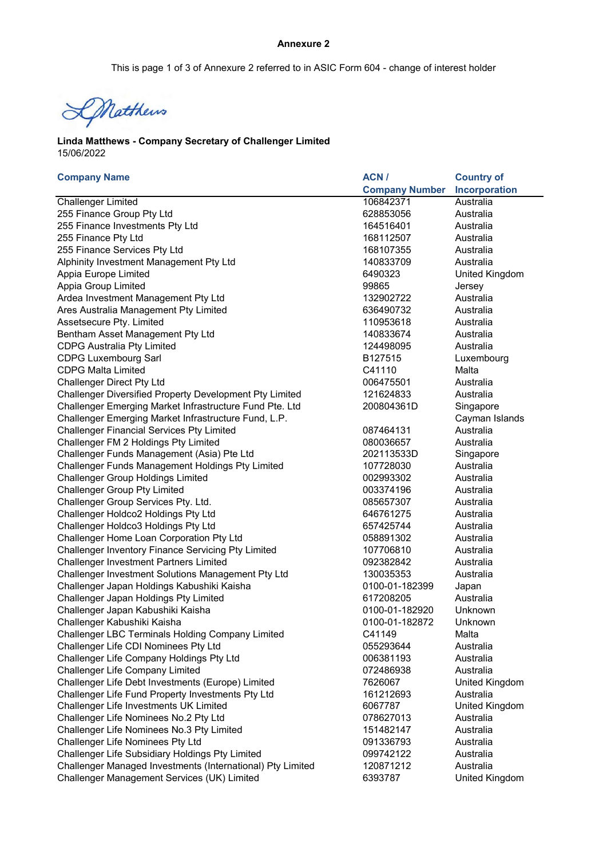# Annexure 2

This is page 1 of 3 of Annexure 2 referred to in ASIC Form 604 - change of interest holder

DNatthews

15/06/2022 Linda Matthews - Company Secretary of Challenger Limited

| <b>Company Name</b>                                        | ACN/                  | <b>Country of</b> |
|------------------------------------------------------------|-----------------------|-------------------|
|                                                            | <b>Company Number</b> | Incorporation     |
| <b>Challenger Limited</b>                                  | 106842371             | Australia         |
| 255 Finance Group Pty Ltd                                  | 628853056             | Australia         |
| 255 Finance Investments Pty Ltd                            | 164516401             | Australia         |
| 255 Finance Pty Ltd                                        | 168112507             | Australia         |
| 255 Finance Services Pty Ltd                               | 168107355             | Australia         |
| Alphinity Investment Management Pty Ltd                    | 140833709             | Australia         |
| Appia Europe Limited                                       | 6490323               | United Kingdom    |
| Appia Group Limited                                        | 99865                 | Jersey            |
| Ardea Investment Management Pty Ltd                        | 132902722             | Australia         |
| Ares Australia Management Pty Limited                      | 636490732             | Australia         |
| Assetsecure Pty. Limited                                   | 110953618             | Australia         |
| Bentham Asset Management Pty Ltd                           | 140833674             | Australia         |
| <b>CDPG Australia Pty Limited</b>                          | 124498095             | Australia         |
| <b>CDPG Luxembourg Sarl</b>                                | B127515               | Luxembourg        |
| <b>CDPG Malta Limited</b>                                  | C41110                | Malta             |
| <b>Challenger Direct Pty Ltd</b>                           | 006475501             | Australia         |
| Challenger Diversified Property Development Pty Limited    | 121624833             | Australia         |
| Challenger Emerging Market Infrastructure Fund Pte. Ltd    | 200804361D            | Singapore         |
| Challenger Emerging Market Infrastructure Fund, L.P.       |                       | Cayman Islands    |
| <b>Challenger Financial Services Pty Limited</b>           | 087464131             | Australia         |
| Challenger FM 2 Holdings Pty Limited                       | 080036657             | Australia         |
| Challenger Funds Management (Asia) Pte Ltd                 | 202113533D            | Singapore         |
| Challenger Funds Management Holdings Pty Limited           | 107728030             | Australia         |
| <b>Challenger Group Holdings Limited</b>                   | 002993302             | Australia         |
| <b>Challenger Group Pty Limited</b>                        | 003374196             | Australia         |
| Challenger Group Services Pty. Ltd.                        | 085657307             | Australia         |
| Challenger Holdco2 Holdings Pty Ltd                        | 646761275             | Australia         |
| Challenger Holdco3 Holdings Pty Ltd                        | 657425744             | Australia         |
| Challenger Home Loan Corporation Pty Ltd                   | 058891302             | Australia         |
| <b>Challenger Inventory Finance Servicing Pty Limited</b>  | 107706810             | Australia         |
| Challenger Investment Partners Limited                     | 092382842             | Australia         |
| Challenger Investment Solutions Management Pty Ltd         | 130035353             | Australia         |
| Challenger Japan Holdings Kabushiki Kaisha                 | 0100-01-182399        | Japan             |
| Challenger Japan Holdings Pty Limited                      | 617208205             | Australia         |
| Challenger Japan Kabushiki Kaisha                          | 0100-01-182920        | Unknown           |
| Challenger Kabushiki Kaisha                                | 0100-01-182872        | Unknown           |
| Challenger LBC Terminals Holding Company Limited           | C41149                | Malta             |
| Challenger Life CDI Nominees Pty Ltd                       | 055293644             | Australia         |
| Challenger Life Company Holdings Pty Ltd                   | 006381193             | Australia         |
| <b>Challenger Life Company Limited</b>                     | 072486938             | Australia         |
| Challenger Life Debt Investments (Europe) Limited          | 7626067               | United Kingdom    |
| Challenger Life Fund Property Investments Pty Ltd          | 161212693             | Australia         |
| Challenger Life Investments UK Limited                     | 6067787               | United Kingdom    |
| Challenger Life Nominees No.2 Pty Ltd                      | 078627013             | Australia         |
| Challenger Life Nominees No.3 Pty Limited                  | 151482147             | Australia         |
| Challenger Life Nominees Pty Ltd                           | 091336793             | Australia         |
| Challenger Life Subsidiary Holdings Pty Limited            | 099742122             | Australia         |
| Challenger Managed Investments (International) Pty Limited | 120871212             | Australia         |
| Challenger Management Services (UK) Limited                | 6393787               | United Kingdom    |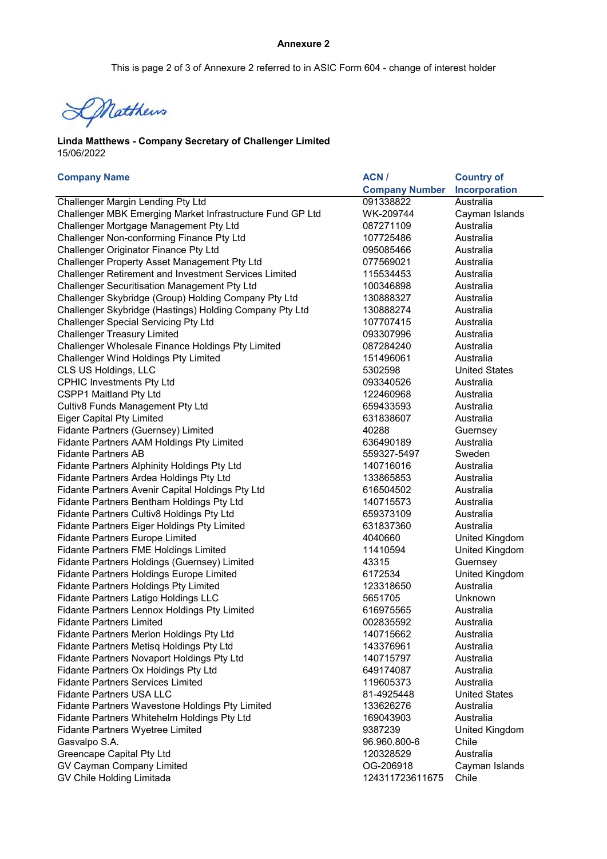This is page 2 of 3 of Annexure 2 referred to in ASIC Form 604 - change of interest holder

DNatthews

15/06/2022 Linda Matthews - Company Secretary of Challenger Limited

| <b>Company Name</b>                                          | ACN/                  | <b>Country of</b>     |
|--------------------------------------------------------------|-----------------------|-----------------------|
|                                                              | <b>Company Number</b> | Incorporation         |
| <b>Challenger Margin Lending Pty Ltd</b>                     | 091338822             | Australia             |
| Challenger MBK Emerging Market Infrastructure Fund GP Ltd    | WK-209744             | Cayman Islands        |
| Challenger Mortgage Management Pty Ltd                       | 087271109             | Australia             |
| Challenger Non-conforming Finance Pty Ltd                    | 107725486             | Australia             |
| Challenger Originator Finance Pty Ltd                        | 095085466             | Australia             |
| Challenger Property Asset Management Pty Ltd                 | 077569021             | Australia             |
| <b>Challenger Retirement and Investment Services Limited</b> | 115534453             | Australia             |
| Challenger Securitisation Management Pty Ltd                 | 100346898             | Australia             |
| Challenger Skybridge (Group) Holding Company Pty Ltd         | 130888327             | Australia             |
| Challenger Skybridge (Hastings) Holding Company Pty Ltd      | 130888274             | Australia             |
| <b>Challenger Special Servicing Pty Ltd</b>                  | 107707415             | Australia             |
| <b>Challenger Treasury Limited</b>                           | 093307996             | Australia             |
| Challenger Wholesale Finance Holdings Pty Limited            | 087284240             | Australia             |
| <b>Challenger Wind Holdings Pty Limited</b>                  | 151496061             | Australia             |
| CLS US Holdings, LLC                                         | 5302598               | <b>United States</b>  |
| <b>CPHIC Investments Pty Ltd</b>                             | 093340526             | Australia             |
| CSPP1 Maitland Pty Ltd                                       | 122460968             | Australia             |
| Cultiv8 Funds Management Pty Ltd                             | 659433593             | Australia             |
| <b>Eiger Capital Pty Limited</b>                             | 631838607             | Australia             |
| Fidante Partners (Guernsey) Limited                          | 40288                 | Guernsey              |
| Fidante Partners AAM Holdings Pty Limited                    | 636490189             | Australia             |
| <b>Fidante Partners AB</b>                                   | 559327-5497           | Sweden                |
| Fidante Partners Alphinity Holdings Pty Ltd                  | 140716016             | Australia             |
| Fidante Partners Ardea Holdings Pty Ltd                      | 133865853             | Australia             |
| Fidante Partners Avenir Capital Holdings Pty Ltd             | 616504502             | Australia             |
| Fidante Partners Bentham Holdings Pty Ltd                    | 140715573             | Australia             |
| Fidante Partners Cultiv8 Holdings Pty Ltd                    | 659373109             | Australia             |
| Fidante Partners Eiger Holdings Pty Limited                  | 631837360             | Australia             |
| <b>Fidante Partners Europe Limited</b>                       | 4040660               | United Kingdom        |
| Fidante Partners FME Holdings Limited                        | 11410594              | United Kingdom        |
| Fidante Partners Holdings (Guernsey) Limited                 | 43315                 | Guernsey              |
| Fidante Partners Holdings Europe Limited                     | 6172534               | <b>United Kingdom</b> |
| Fidante Partners Holdings Pty Limited                        | 123318650             | Australia             |
| Fidante Partners Latigo Holdings LLC                         | 5651705               | Unknown               |
| Fidante Partners Lennox Holdings Pty Limited                 | 616975565             | Australia             |
| <b>Fidante Partners Limited</b>                              | 002835592             | Australia             |
| Fidante Partners Merlon Holdings Pty Ltd                     | 140715662             | Australia             |
| Fidante Partners Metisq Holdings Pty Ltd                     | 143376961             | Australia             |
| Fidante Partners Novaport Holdings Pty Ltd                   | 140715797             | Australia             |
| Fidante Partners Ox Holdings Pty Ltd                         | 649174087             | Australia             |
| <b>Fidante Partners Services Limited</b>                     | 119605373             | Australia             |
| <b>Fidante Partners USA LLC</b>                              | 81-4925448            | <b>United States</b>  |
| Fidante Partners Wavestone Holdings Pty Limited              | 133626276             | Australia             |
| Fidante Partners Whitehelm Holdings Pty Ltd                  | 169043903             | Australia             |
| Fidante Partners Wyetree Limited                             | 9387239               | United Kingdom        |
| Gasvalpo S.A.                                                | 96.960.800-6          | Chile                 |
| <b>Greencape Capital Pty Ltd</b>                             | 120328529             | Australia             |
| GV Cayman Company Limited                                    | OG-206918             | Cayman Islands        |
| GV Chile Holding Limitada                                    | 124311723611675       | Chile                 |